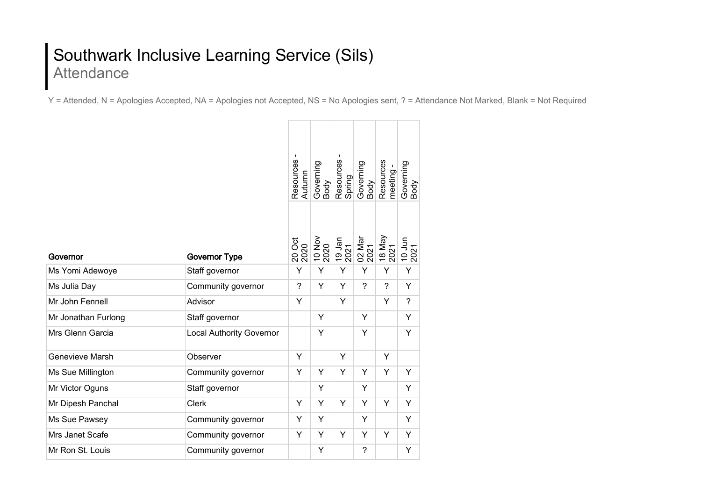## Southwark Inclusive Learning Service (Sils) **Attendance**

Y = Attended, N = Apologies Accepted, NA = Apologies not Accepted, NS = No Apologies sent, ? = Attendance Not Marked, Blank = Not Required

|                     |                                 | J.<br>Resources<br>Autumn | Governing<br>Body | Resources<br>Spring | Governing<br>Body | Resources<br>meeting - | Governing<br>Body |
|---------------------|---------------------------------|---------------------------|-------------------|---------------------|-------------------|------------------------|-------------------|
| Governor            | <b>Governor Type</b>            | 20 Oct<br>2020            | 10 Nov            | 19 Jan<br>2021      | 02 Mar<br>2021    | 18 May<br>2021         | 10 Jun<br>2021    |
| Ms Yomi Adewoye     | Staff governor                  | Y                         | Y                 | Y                   | Y                 | Y                      | Y                 |
| Ms Julia Day        | Community governor              | $\overline{\phantom{a}}$  | Y                 | Y                   | $\gamma$          | $\overline{?}$         | Υ                 |
| Mr John Fennell     | Advisor                         | Y                         |                   | Y                   |                   | Y                      | $\overline{?}$    |
| Mr Jonathan Furlong | Staff governor                  |                           | Y                 |                     | Y                 |                        | Υ                 |
| Mrs Glenn Garcia    | <b>Local Authority Governor</b> |                           | Y                 |                     | Y                 |                        | Y                 |
| Genevieve Marsh     | Observer                        | Y                         |                   | Y                   |                   | Y                      |                   |
| Ms Sue Millington   | Community governor              | Y                         | Y                 | Y                   | Y                 | Y                      | Y                 |
| Mr Victor Oguns     | Staff governor                  |                           | Y                 |                     | Y                 |                        | Y                 |
| Mr Dipesh Panchal   | Clerk                           | Y                         | Y                 | Y                   | Y                 | Y                      | Y                 |
| Ms Sue Pawsey       | Community governor              | Y                         | Y                 |                     | Y                 |                        | Y                 |
| Mrs Janet Scafe     | Community governor              | Y                         | Y                 | Y                   | Y                 | Y                      | Y                 |
| Mr Ron St. Louis    | Community governor              |                           | Y                 |                     | $\tilde{?}$       |                        | Y                 |